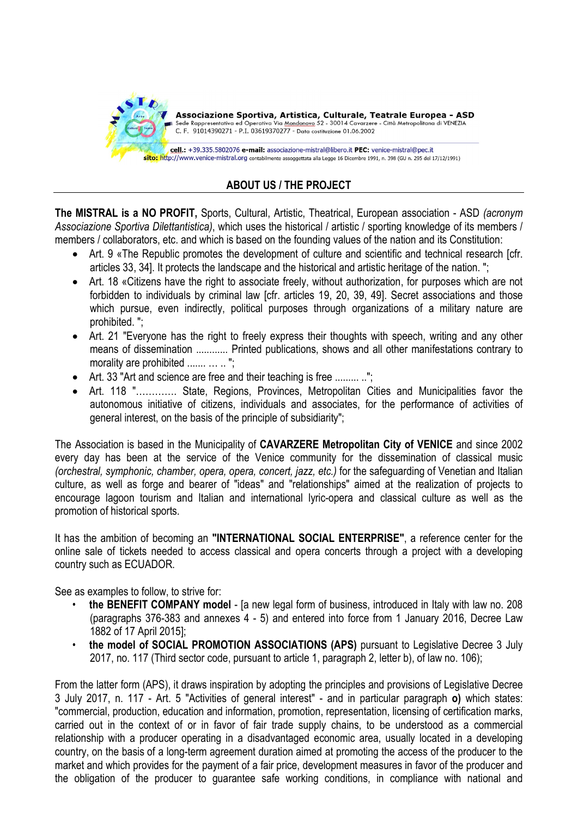

## ABOUT US / THE PROJECT

The MISTRAL is a NO PROFIT, Sports, Cultural, Artistic, Theatrical, European association - ASD (acronym Associazione Sportiva Dilettantistica), which uses the historical / artistic / sporting knowledge of its members / members / collaborators, etc. and which is based on the founding values of the nation and its Constitution:

- Art. 9 «The Republic promotes the development of culture and scientific and technical research [cfr. articles 33, 34]. It protects the landscape and the historical and artistic heritage of the nation. ";
- Art. 18 «Citizens have the right to associate freely, without authorization, for purposes which are not forbidden to individuals by criminal law [cfr. articles 19, 20, 39, 49]. Secret associations and those which pursue, even indirectly, political purposes through organizations of a military nature are prohibited. ";
- Art. 21 "Everyone has the right to freely express their thoughts with speech, writing and any other means of dissemination ............ Printed publications, shows and all other manifestations contrary to morality are prohibited ....... ... ... ";
- Art. 33 "Art and science are free and their teaching is free ......... ..";
- Art. 118 "…………. State, Regions, Provinces, Metropolitan Cities and Municipalities favor the autonomous initiative of citizens, individuals and associates, for the performance of activities of general interest, on the basis of the principle of subsidiarity";

The Association is based in the Municipality of CAVARZERE Metropolitan City of VENICE and since 2002 every day has been at the service of the Venice community for the dissemination of classical music (orchestral, symphonic, chamber, opera, opera, concert, jazz, etc.) for the safeguarding of Venetian and Italian culture, as well as forge and bearer of "ideas" and "relationships" aimed at the realization of projects to encourage lagoon tourism and Italian and international lyric-opera and classical culture as well as the promotion of historical sports.

It has the ambition of becoming an "INTERNATIONAL SOCIAL ENTERPRISE", a reference center for the online sale of tickets needed to access classical and opera concerts through a project with a developing country such as ECUADOR.

See as examples to follow, to strive for:

- the BENEFIT COMPANY model [a new legal form of business, introduced in Italy with law no. 208 (paragraphs 376-383 and annexes 4 - 5) and entered into force from 1 January 2016, Decree Law 1882 of 17 April 2015];
- the model of SOCIAL PROMOTION ASSOCIATIONS (APS) pursuant to Legislative Decree 3 July 2017, no. 117 (Third sector code, pursuant to article 1, paragraph 2, letter b), of law no. 106);

From the latter form (APS), it draws inspiration by adopting the principles and provisions of Legislative Decree 3 July 2017, n. 117 - Art. 5 "Activities of general interest" - and in particular paragraph o) which states: "commercial, production, education and information, promotion, representation, licensing of certification marks, carried out in the context of or in favor of fair trade supply chains, to be understood as a commercial relationship with a producer operating in a disadvantaged economic area, usually located in a developing country, on the basis of a long-term agreement duration aimed at promoting the access of the producer to the market and which provides for the payment of a fair price, development measures in favor of the producer and the obligation of the producer to guarantee safe working conditions, in compliance with national and